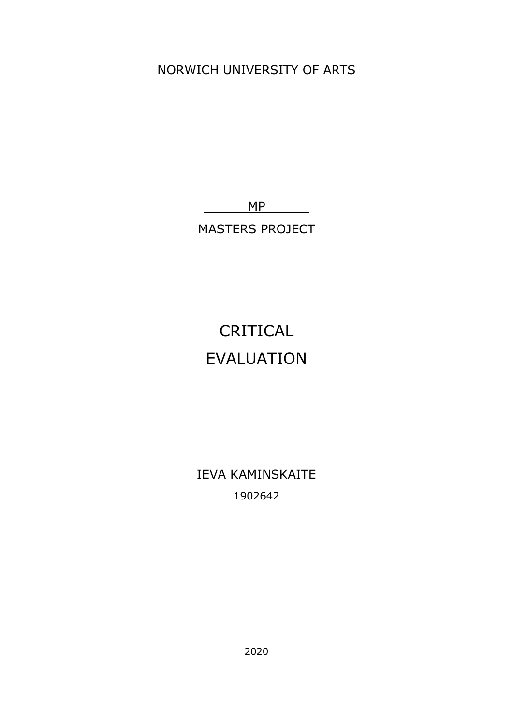NORWICH UNIVERSITY OF ARTS

MP

MASTERS PROJECT

## CRITICAL EVALUATION

IEVA KAMINSKAITE 1902642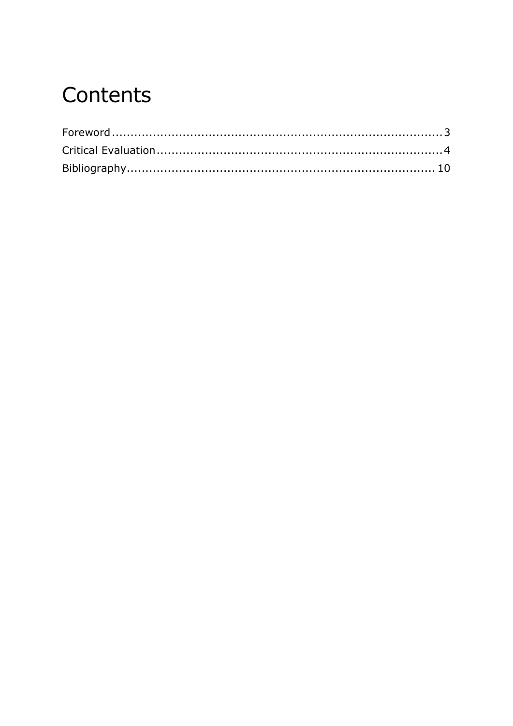# Contents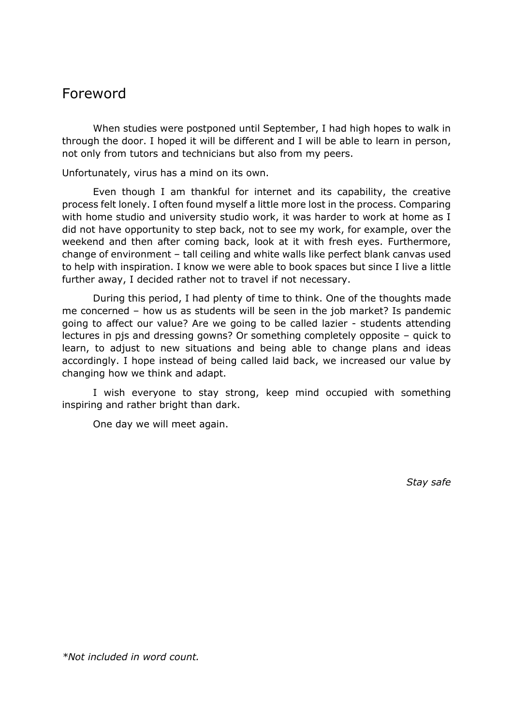### <span id="page-2-0"></span>Foreword

When studies were postponed until September, I had high hopes to walk in through the door. I hoped it will be different and I will be able to learn in person, not only from tutors and technicians but also from my peers.

Unfortunately, virus has a mind on its own.

Even though I am thankful for internet and its capability, the creative process felt lonely. I often found myself a little more lost in the process. Comparing with home studio and university studio work, it was harder to work at home as I did not have opportunity to step back, not to see my work, for example, over the weekend and then after coming back, look at it with fresh eyes. Furthermore, change of environment – tall ceiling and white walls like perfect blank canvas used to help with inspiration. I know we were able to book spaces but since I live a little further away, I decided rather not to travel if not necessary.

During this period, I had plenty of time to think. One of the thoughts made me concerned – how us as students will be seen in the job market? Is pandemic going to affect our value? Are we going to be called lazier - students attending lectures in pjs and dressing gowns? Or something completely opposite – quick to learn, to adjust to new situations and being able to change plans and ideas accordingly. I hope instead of being called laid back, we increased our value by changing how we think and adapt.

I wish everyone to stay strong, keep mind occupied with something inspiring and rather bright than dark.

One day we will meet again.

*Stay safe*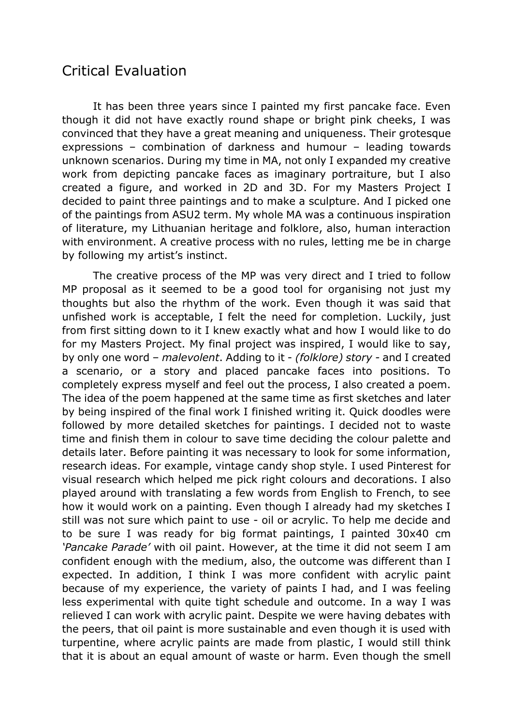### <span id="page-3-0"></span>Critical Evaluation

It has been three years since I painted my first pancake face. Even though it did not have exactly round shape or bright pink cheeks, I was convinced that they have a great meaning and uniqueness. Their grotesque expressions – combination of darkness and humour – leading towards unknown scenarios. During my time in MA, not only I expanded my creative work from depicting pancake faces as imaginary portraiture, but I also created a figure, and worked in 2D and 3D. For my Masters Project I decided to paint three paintings and to make a sculpture. And I picked one of the paintings from ASU2 term. My whole MA was a continuous inspiration of literature, my Lithuanian heritage and folklore, also, human interaction with environment. A creative process with no rules, letting me be in charge by following my artist's instinct.

The creative process of the MP was very direct and I tried to follow MP proposal as it seemed to be a good tool for organising not just my thoughts but also the rhythm of the work. Even though it was said that unfished work is acceptable, I felt the need for completion. Luckily, just from first sitting down to it I knew exactly what and how I would like to do for my Masters Project. My final project was inspired, I would like to say, by only one word – *malevolent*. Adding to it - *(folklore) story -* and I created a scenario, or a story and placed pancake faces into positions. To completely express myself and feel out the process, I also created a poem. The idea of the poem happened at the same time as first sketches and later by being inspired of the final work I finished writing it. Quick doodles were followed by more detailed sketches for paintings. I decided not to waste time and finish them in colour to save time deciding the colour palette and details later. Before painting it was necessary to look for some information, research ideas. For example, vintage candy shop style. I used Pinterest for visual research which helped me pick right colours and decorations. I also played around with translating a few words from English to French, to see how it would work on a painting. Even though I already had my sketches I still was not sure which paint to use - oil or acrylic. To help me decide and to be sure I was ready for big format paintings, I painted 30x40 cm *'Pancake Parade'* with oil paint. However, at the time it did not seem I am confident enough with the medium, also, the outcome was different than I expected. In addition, I think I was more confident with acrylic paint because of my experience, the variety of paints I had, and I was feeling less experimental with quite tight schedule and outcome. In a way I was relieved I can work with acrylic paint. Despite we were having debates with the peers, that oil paint is more sustainable and even though it is used with turpentine, where acrylic paints are made from plastic, I would still think that it is about an equal amount of waste or harm. Even though the smell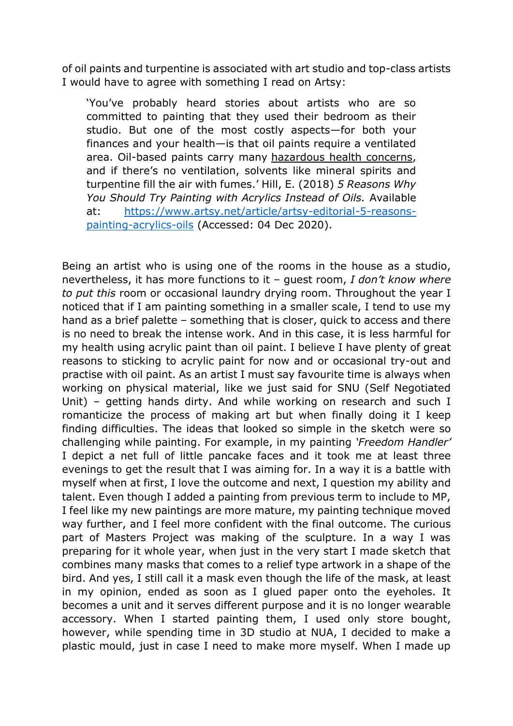of oil paints and turpentine is associated with art studio and top-class artists I would have to agree with something I read on Artsy:

'You've probably heard stories about artists who are so committed to painting that they used their bedroom as their studio. But one of the most costly aspects—for both your finances and your health—is that oil paints require a ventilated area. Oil-based paints carry many [hazardous](https://www.livestrong.com/article/125804-health-effects-oil-based-paint/) health concerns, and if there's no ventilation, solvents like mineral spirits and turpentine fill the air with fumes.' Hill, E. (2018) *5 Reasons Why You Should Try Painting with Acrylics Instead of Oils.* Available at: [https://www.artsy.net/article/artsy-editorial-5-reasons](https://www.artsy.net/article/artsy-editorial-5-reasons-painting-acrylics-oils)[painting-acrylics-oils](https://www.artsy.net/article/artsy-editorial-5-reasons-painting-acrylics-oils) (Accessed: 04 Dec 2020).

Being an artist who is using one of the rooms in the house as a studio, nevertheless, it has more functions to it – guest room, *I don't know where to put this* room or occasional laundry drying room. Throughout the year I noticed that if I am painting something in a smaller scale, I tend to use my hand as a brief palette – something that is closer, quick to access and there is no need to break the intense work. And in this case, it is less harmful for my health using acrylic paint than oil paint. I believe I have plenty of great reasons to sticking to acrylic paint for now and or occasional try-out and practise with oil paint. As an artist I must say favourite time is always when working on physical material, like we just said for SNU (Self Negotiated Unit) – getting hands dirty. And while working on research and such I romanticize the process of making art but when finally doing it I keep finding difficulties. The ideas that looked so simple in the sketch were so challenging while painting. For example, in my painting *'Freedom Handler'*  I depict a net full of little pancake faces and it took me at least three evenings to get the result that I was aiming for. In a way it is a battle with myself when at first, I love the outcome and next, I question my ability and talent. Even though I added a painting from previous term to include to MP, I feel like my new paintings are more mature, my painting technique moved way further, and I feel more confident with the final outcome. The curious part of Masters Project was making of the sculpture. In a way I was preparing for it whole year, when just in the very start I made sketch that combines many masks that comes to a relief type artwork in a shape of the bird. And yes, I still call it a mask even though the life of the mask, at least in my opinion, ended as soon as I glued paper onto the eyeholes. It becomes a unit and it serves different purpose and it is no longer wearable accessory. When I started painting them, I used only store bought, however, while spending time in 3D studio at NUA, I decided to make a plastic mould, just in case I need to make more myself. When I made up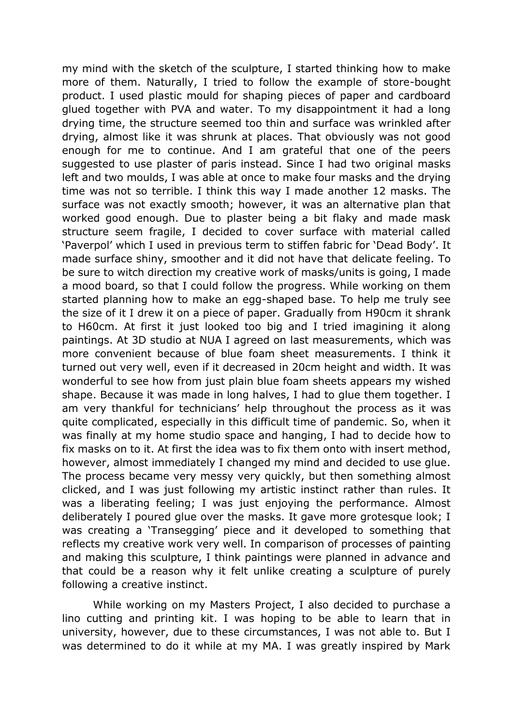my mind with the sketch of the sculpture, I started thinking how to make more of them. Naturally, I tried to follow the example of store-bought product. I used plastic mould for shaping pieces of paper and cardboard glued together with PVA and water. To my disappointment it had a long drying time, the structure seemed too thin and surface was wrinkled after drying, almost like it was shrunk at places. That obviously was not good enough for me to continue. And I am grateful that one of the peers suggested to use plaster of paris instead. Since I had two original masks left and two moulds, I was able at once to make four masks and the drying time was not so terrible. I think this way I made another 12 masks. The surface was not exactly smooth; however, it was an alternative plan that worked good enough. Due to plaster being a bit flaky and made mask structure seem fragile, I decided to cover surface with material called 'Paverpol' which I used in previous term to stiffen fabric for 'Dead Body'. It made surface shiny, smoother and it did not have that delicate feeling. To be sure to witch direction my creative work of masks/units is going, I made a mood board, so that I could follow the progress. While working on them started planning how to make an egg-shaped base. To help me truly see the size of it I drew it on a piece of paper. Gradually from H90cm it shrank to H60cm. At first it just looked too big and I tried imagining it along paintings. At 3D studio at NUA I agreed on last measurements, which was more convenient because of blue foam sheet measurements. I think it turned out very well, even if it decreased in 20cm height and width. It was wonderful to see how from just plain blue foam sheets appears my wished shape. Because it was made in long halves, I had to glue them together. I am very thankful for technicians' help throughout the process as it was quite complicated, especially in this difficult time of pandemic. So, when it was finally at my home studio space and hanging, I had to decide how to fix masks on to it. At first the idea was to fix them onto with insert method, however, almost immediately I changed my mind and decided to use glue. The process became very messy very quickly, but then something almost clicked, and I was just following my artistic instinct rather than rules. It was a liberating feeling; I was just enjoying the performance. Almost deliberately I poured glue over the masks. It gave more grotesque look; I was creating a 'Transegging' piece and it developed to something that reflects my creative work very well. In comparison of processes of painting and making this sculpture, I think paintings were planned in advance and that could be a reason why it felt unlike creating a sculpture of purely following a creative instinct.

While working on my Masters Project, I also decided to purchase a lino cutting and printing kit. I was hoping to be able to learn that in university, however, due to these circumstances, I was not able to. But I was determined to do it while at my MA. I was greatly inspired by Mark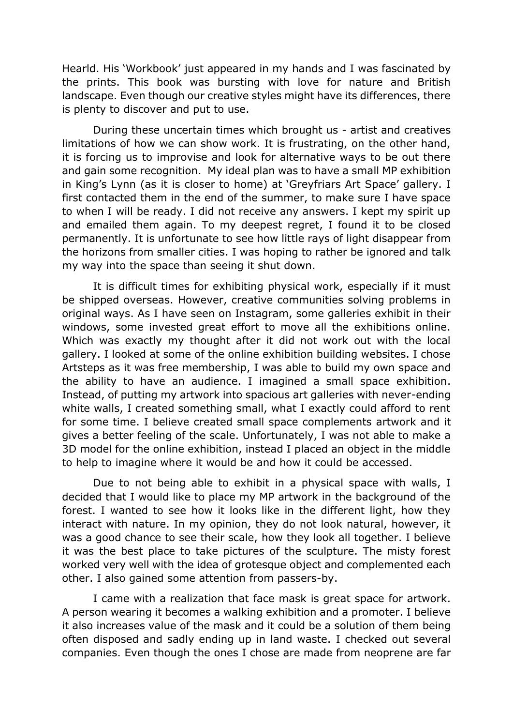Hearld. His 'Workbook' just appeared in my hands and I was fascinated by the prints. This book was bursting with love for nature and British landscape. Even though our creative styles might have its differences, there is plenty to discover and put to use.

During these uncertain times which brought us - artist and creatives limitations of how we can show work. It is frustrating, on the other hand, it is forcing us to improvise and look for alternative ways to be out there and gain some recognition. My ideal plan was to have a small MP exhibition in King's Lynn (as it is closer to home) at 'Greyfriars Art Space' gallery. I first contacted them in the end of the summer, to make sure I have space to when I will be ready. I did not receive any answers. I kept my spirit up and emailed them again. To my deepest regret, I found it to be closed permanently. It is unfortunate to see how little rays of light disappear from the horizons from smaller cities. I was hoping to rather be ignored and talk my way into the space than seeing it shut down.

It is difficult times for exhibiting physical work, especially if it must be shipped overseas. However, creative communities solving problems in original ways. As I have seen on Instagram, some galleries exhibit in their windows, some invested great effort to move all the exhibitions online. Which was exactly my thought after it did not work out with the local gallery. I looked at some of the online exhibition building websites. I chose Artsteps as it was free membership, I was able to build my own space and the ability to have an audience. I imagined a small space exhibition. Instead, of putting my artwork into spacious art galleries with never-ending white walls, I created something small, what I exactly could afford to rent for some time. I believe created small space complements artwork and it gives a better feeling of the scale. Unfortunately, I was not able to make a 3D model for the online exhibition, instead I placed an object in the middle to help to imagine where it would be and how it could be accessed.

Due to not being able to exhibit in a physical space with walls, I decided that I would like to place my MP artwork in the background of the forest. I wanted to see how it looks like in the different light, how they interact with nature. In my opinion, they do not look natural, however, it was a good chance to see their scale, how they look all together. I believe it was the best place to take pictures of the sculpture. The misty forest worked very well with the idea of grotesque object and complemented each other. I also gained some attention from passers-by.

I came with a realization that face mask is great space for artwork. A person wearing it becomes a walking exhibition and a promoter. I believe it also increases value of the mask and it could be a solution of them being often disposed and sadly ending up in land waste. I checked out several companies. Even though the ones I chose are made from neoprene are far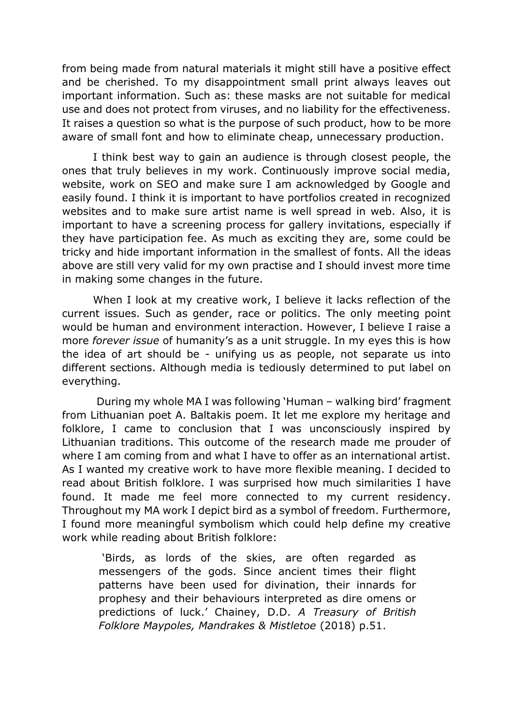from being made from natural materials it might still have a positive effect and be cherished. To my disappointment small print always leaves out important information. Such as: these masks are not suitable for medical use and does not protect from viruses, and no liability for the effectiveness. It raises a question so what is the purpose of such product, how to be more aware of small font and how to eliminate cheap, unnecessary production.

I think best way to gain an audience is through closest people, the ones that truly believes in my work. Continuously improve social media, website, work on SEO and make sure I am acknowledged by Google and easily found. I think it is important to have portfolios created in recognized websites and to make sure artist name is well spread in web. Also, it is important to have a screening process for gallery invitations, especially if they have participation fee. As much as exciting they are, some could be tricky and hide important information in the smallest of fonts. All the ideas above are still very valid for my own practise and I should invest more time in making some changes in the future.

When I look at my creative work, I believe it lacks reflection of the current issues. Such as gender, race or politics. The only meeting point would be human and environment interaction. However, I believe I raise a more *forever issue* of humanity's as a unit struggle. In my eyes this is how the idea of art should be - unifying us as people, not separate us into different sections. Although media is tediously determined to put label on everything.

During my whole MA I was following 'Human – walking bird' fragment from Lithuanian poet A. Baltakis poem. It let me explore my heritage and folklore, I came to conclusion that I was unconsciously inspired by Lithuanian traditions. This outcome of the research made me prouder of where I am coming from and what I have to offer as an international artist. As I wanted my creative work to have more flexible meaning. I decided to read about British folklore. I was surprised how much similarities I have found. It made me feel more connected to my current residency. Throughout my MA work I depict bird as a symbol of freedom. Furthermore, I found more meaningful symbolism which could help define my creative work while reading about British folklore:

'Birds, as lords of the skies, are often regarded as messengers of the gods. Since ancient times their flight patterns have been used for divination, their innards for prophesy and their behaviours interpreted as dire omens or predictions of luck.' Chainey, D.D. *A Treasury of British Folklore Maypoles, Mandrakes & Mistletoe* (2018) p.51.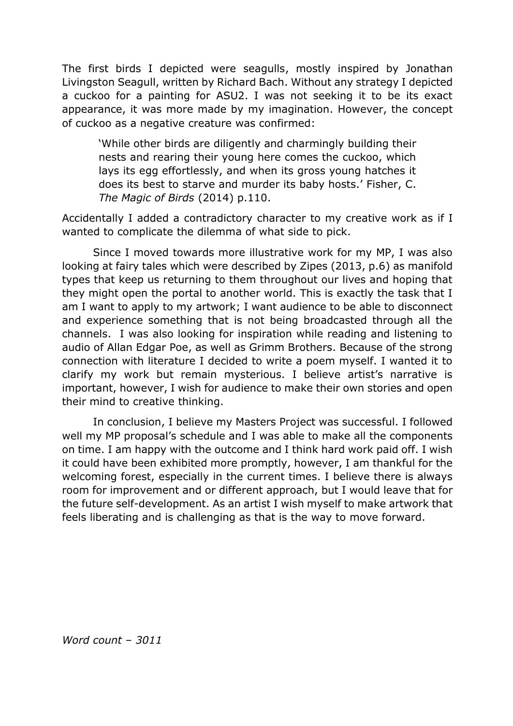The first birds I depicted were seagulls, mostly inspired by Jonathan Livingston Seagull, written by Richard Bach. Without any strategy I depicted a cuckoo for a painting for ASU2. I was not seeking it to be its exact appearance, it was more made by my imagination. However, the concept of cuckoo as a negative creature was confirmed:

'While other birds are diligently and charmingly building their nests and rearing their young here comes the cuckoo, which lays its egg effortlessly, and when its gross young hatches it does its best to starve and murder its baby hosts.' Fisher, C. *The Magic of Birds* (2014) p.110.

Accidentally I added a contradictory character to my creative work as if I wanted to complicate the dilemma of what side to pick.

Since I moved towards more illustrative work for my MP, I was also looking at fairy tales which were described by Zipes (2013, p.6) as manifold types that keep us returning to them throughout our lives and hoping that they might open the portal to another world. This is exactly the task that I am I want to apply to my artwork; I want audience to be able to disconnect and experience something that is not being broadcasted through all the channels. I was also looking for inspiration while reading and listening to audio of Allan Edgar Poe, as well as Grimm Brothers. Because of the strong connection with literature I decided to write a poem myself. I wanted it to clarify my work but remain mysterious. I believe artist's narrative is important, however, I wish for audience to make their own stories and open their mind to creative thinking.

In conclusion, I believe my Masters Project was successful. I followed well my MP proposal's schedule and I was able to make all the components on time. I am happy with the outcome and I think hard work paid off. I wish it could have been exhibited more promptly, however, I am thankful for the welcoming forest, especially in the current times. I believe there is always room for improvement and or different approach, but I would leave that for the future self-development. As an artist I wish myself to make artwork that feels liberating and is challenging as that is the way to move forward.